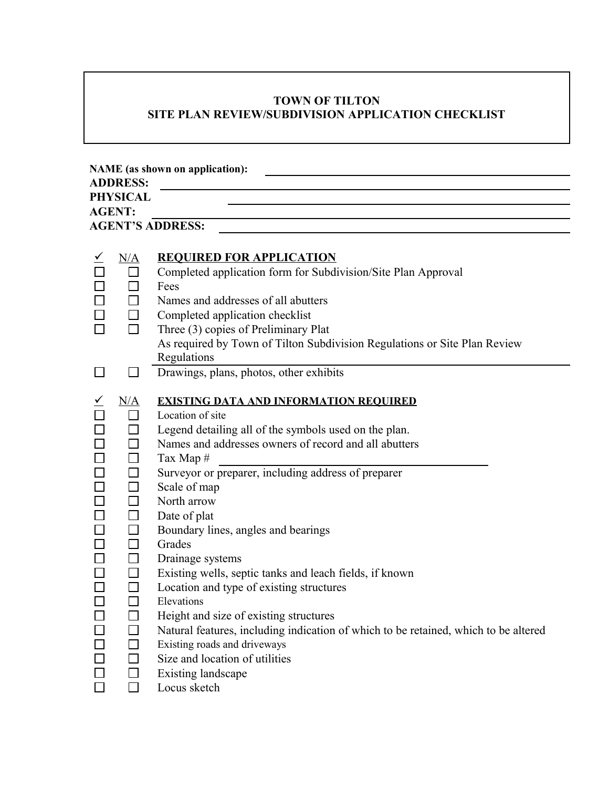## **TOWN OF TILTON SITE PLAN REVIEW/SUBDIVISION APPLICATION CHECKLIST**

| <b>NAME</b> (as shown on application):         |                                                                                                                                                      |                                                                                                                                                                                                                                                                                                                                                                                                                                                                                                                                                                                                                                                                                                                                           |  |  |  |  |
|------------------------------------------------|------------------------------------------------------------------------------------------------------------------------------------------------------|-------------------------------------------------------------------------------------------------------------------------------------------------------------------------------------------------------------------------------------------------------------------------------------------------------------------------------------------------------------------------------------------------------------------------------------------------------------------------------------------------------------------------------------------------------------------------------------------------------------------------------------------------------------------------------------------------------------------------------------------|--|--|--|--|
| <b>ADDRESS:</b>                                |                                                                                                                                                      |                                                                                                                                                                                                                                                                                                                                                                                                                                                                                                                                                                                                                                                                                                                                           |  |  |  |  |
| <b>PHYSICAL</b>                                |                                                                                                                                                      |                                                                                                                                                                                                                                                                                                                                                                                                                                                                                                                                                                                                                                                                                                                                           |  |  |  |  |
| <b>AGENT:</b>                                  |                                                                                                                                                      |                                                                                                                                                                                                                                                                                                                                                                                                                                                                                                                                                                                                                                                                                                                                           |  |  |  |  |
| <b>AGENT'S ADDRESS:</b>                        |                                                                                                                                                      |                                                                                                                                                                                                                                                                                                                                                                                                                                                                                                                                                                                                                                                                                                                                           |  |  |  |  |
|                                                | N/A                                                                                                                                                  | <b>REQUIRED FOR APPLICATION</b><br>Completed application form for Subdivision/Site Plan Approval<br>Fees                                                                                                                                                                                                                                                                                                                                                                                                                                                                                                                                                                                                                                  |  |  |  |  |
|                                                | $\Box$                                                                                                                                               | Names and addresses of all abutters<br>Completed application checklist<br>Three (3) copies of Preliminary Plat<br>As required by Town of Tilton Subdivision Regulations or Site Plan Review<br>Regulations                                                                                                                                                                                                                                                                                                                                                                                                                                                                                                                                |  |  |  |  |
|                                                |                                                                                                                                                      | Drawings, plans, photos, other exhibits                                                                                                                                                                                                                                                                                                                                                                                                                                                                                                                                                                                                                                                                                                   |  |  |  |  |
| $\Box$<br>$\Box$<br>$\Box$<br>$\Box$<br>$\Box$ | N/A<br>$\Box$<br>$\Box$<br>$\Box$<br>$\Box$<br>□<br>$\Box$<br>$\Box$<br>$\Box$<br>$\Box$<br>$\Box$<br>$\Box$<br>$\Box$<br>$\Box$<br>$\Box$<br>$\Box$ | <b>EXISTING DATA AND INFORMATION REQUIRED</b><br>Location of site<br>Legend detailing all of the symbols used on the plan.<br>Names and addresses owners of record and all abutters<br>Tax Map #<br>Surveyor or preparer, including address of preparer<br>Scale of map<br>North arrow<br>Date of plat<br>Boundary lines, angles and bearings<br>Grades<br>Drainage systems<br>Existing wells, septic tanks and leach fields, if known<br>Location and type of existing structures<br>Elevations<br>Height and size of existing structures<br>Natural features, including indication of which to be retained, which to be altered<br>Existing roads and driveways<br>Size and location of utilities<br>Existing landscape<br>Locus sketch |  |  |  |  |